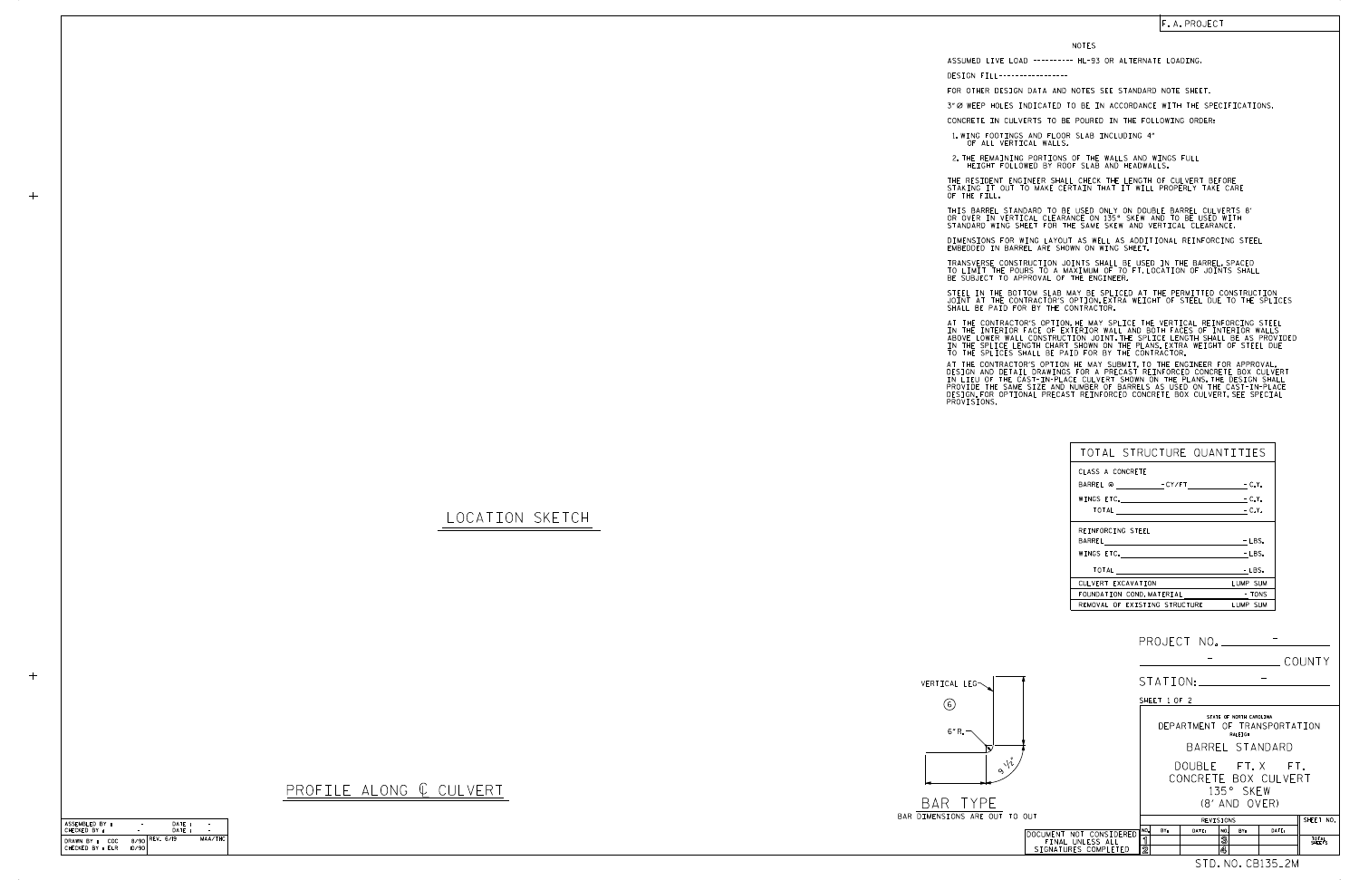|            |                                          |                        |              |           |        |                                    |                                         | COUNTY          |
|------------|------------------------------------------|------------------------|--------------|-----------|--------|------------------------------------|-----------------------------------------|-----------------|
|            |                                          |                        |              | STATION:  |        |                                    |                                         |                 |
|            |                                          |                        | SHEET 1 OF 2 |           |        |                                    |                                         |                 |
|            |                                          |                        |              |           |        | STATE OF NORTH CAROLINA<br>RALEIGH | DEPARTMENT OF TRANSPORTATION            |                 |
|            |                                          |                        |              |           |        |                                    | BARREL STANDARD                         |                 |
| $\sqrt{i}$ |                                          |                        |              |           |        | 135° SKFW<br>$(8'$ and $(0)$ FR)   | DOUBLE FT.X FT.<br>CONCRETE BOX CULVERT |                 |
| TO OUT     |                                          |                        |              | REVISIONS |        |                                    |                                         | SHEET NO.       |
|            | DOCUMENT NOT CONSIDERED                  | NO.                    | BY:          | DATE:     | NO.    | BY:                                | DATE:                                   |                 |
|            | FINAL UNLESS ALL<br>SIGNATURES COMPLETED | ิ์ 1<br>$\overline{2}$ |              |           | 3<br>4 |                                    |                                         | TOTAL<br>SHEETS |
|            |                                          |                        |              |           |        |                                    | STD.NO.CB135 <sub>-</sub> 2M            |                 |

| ASSEMBLED BY :                        | ۰     | DATE:          |         |
|---------------------------------------|-------|----------------|---------|
| CHECKED BY :                          |       | DATF:          |         |
| DRAWN BY :<br>COC<br>CHECKED BY : ELR | 10/90 | 8/90 REV. 6/19 | MAA/THC |

## LOCATION SKETCH

| _ | _ |  |
|---|---|--|
|   |   |  |

 $+$ 





## PROFILE ALONG  $C$  CULVERT

STEEL IN THE BOTTOM SLAB MAY BE SPLICED AT THE PERMITTED CONSTRUCTION JOINT AT THE CONTRACTOR'S OPTION.EXTRA WEIGHT OF STEEL DUE TO THE SPLICES<br>SHALL BE PAID FOR BY THE CONTRACTOR.

| TOTAL STRUCTURE QUANTITIES                                                                                                                                                                                                     |                        |
|--------------------------------------------------------------------------------------------------------------------------------------------------------------------------------------------------------------------------------|------------------------|
| CLASS A CONCRETE                                                                                                                                                                                                               |                        |
| BARREL @ - CY/FT - C.Y.                                                                                                                                                                                                        |                        |
|                                                                                                                                                                                                                                | $-C.Y.$                |
|                                                                                                                                                                                                                                |                        |
| REINFORCING STEEL                                                                                                                                                                                                              |                        |
|                                                                                                                                                                                                                                | $-LBS.$                |
| WINGS ETC. The contract of the contract of the contract of the contract of the contract of the contract of the contract of the contract of the contract of the contract of the contract of the contract of the contract of the | $-LBS.$                |
| TOTAL                                                                                                                                                                                                                          | - LBS.                 |
| CULVERT EXCAVATION                                                                                                                                                                                                             | LUMP SUM               |
| FOUNDATION COND.MATERIAL                                                                                                                                                                                                       | <b>Example 19 TONS</b> |
| REMOVAL OF EXISTING STRUCTURE                                                                                                                                                                                                  | LUMP SUM               |

NOTES

DESIGN FILL----------------- FOR OTHER DESIGN DATA AND NOTES SEE STANDARD NOTE SHEET.

CONCRETE IN CULVERTS TO BE POURED IN THE FOLLOWING ORDER:

1.WING FOOTINGS AND FLOOR SLAB INCLUDING 4"<br>OF ALL VERTICAL WALLS.

2.THE REMAINING PORTIONS OF THE WALLS AND WINGS FULL<br>HEIGHT FOLLOWED BY ROOF SLAB AND HEADWALLS.

THE RESIDENT ENGINEER SHALL CHECK THE LENGTH OF CULVERT BEFORE<br>STAKING IT OUT TO MAKE CERTAIN THAT IT WILL PROPERLY TAKE CARE<br>OF THE FILL.

IN THE INTERIOR FACE OF EXTERIOR WALL AND BOTH FACES OF INTERIOR WALLS<br>ABOVE LOWER WALL CONSTRUCTION JOINT THE SPLICE LENGTH SHALL BE AS PROVIDED<br>IN THE SPLICE LENGTH CHART SHOWN ON THE PLANS EXTRA WEIGHT OF STEEL DUE<br>TO T AT THE CONTRACTOR'S OPTION, HE MAY SPLICE THE VERTICAL REINFORCING STEEL

AT THE CONTRACTOR'S OPTION HE MAY SUBMIT, TO THE ENGINEER FOR APPROVAL,<br>DESIGN AND DETAIL DRAWINGS FOR A PRECAST REINFORCED CONCRETE BOX CULVERT<br>IN LIEU OF THE CAST-IN-PLACE CULVERT SHOWN ON THE PLANS, THE DESIGN SHALL<br>PRO

STANDARD WING SHEET FOR THE SAME SKEW AND VERTICAL CLEARANCE. THIS BARREL STANDARD TO BE USED ONLY ON DOUBLE BARREL CULVERTS 8' OR OVER IN VERTICAL CLEARANCE ON 135° SKEW AND TO BE USED WITH

DIMENSIONS FOR WING LAYOUT AS WELL AS ADDITIONAL REINFORCING STEEL<br>EMBEDDED IN BARREL ARE SHOWN ON WING SHEET.

TRANSVERSE CONSTRUCTION JOINTS SHALL BE USED IN THE BARREL,SPACED<br>TO LIMIT THE POURS TO A MAXIMUM OF 70 FT.LOCATION OF JOINTS SHALL<br>BE SUBJECT TO APPROVAL OF THE ENGINEER.

ASSUMED LIVE LOAD ---------- HL-93 OR ALTERNATE LOADING.

3" Ø WEEP HOLES INDICATED TO BE IN ACCORDANCE WITH THE SPECIFICATIONS.